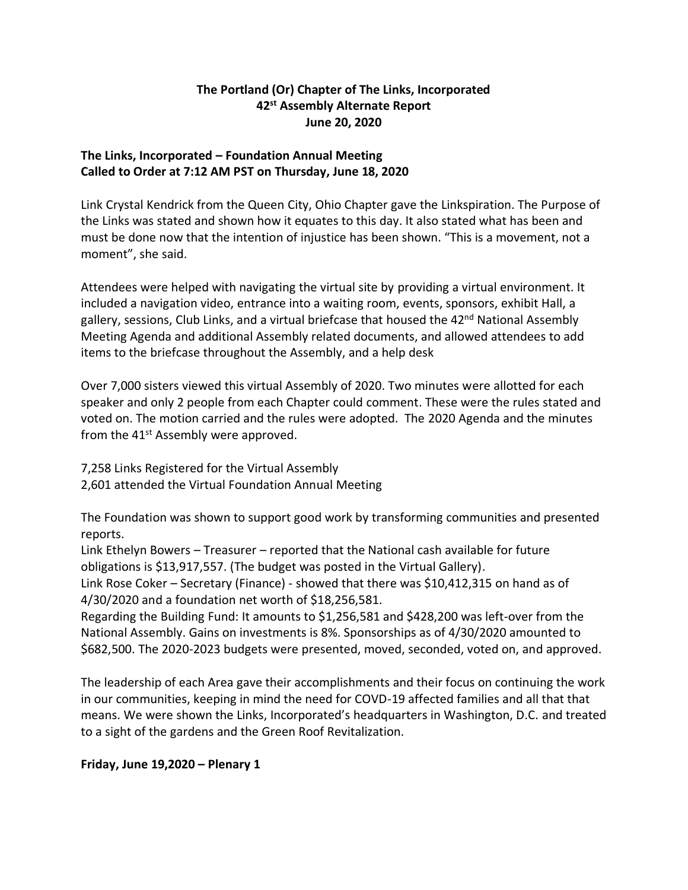## **The Portland (Or) Chapter of The Links, Incorporated 42 st Assembly Alternate Report June 20, 2020**

# **The Links, Incorporated – Foundation Annual Meeting Called to Order at 7:12 AM PST on Thursday, June 18, 2020**

Link Crystal Kendrick from the Queen City, Ohio Chapter gave the Linkspiration. The Purpose of the Links was stated and shown how it equates to this day. It also stated what has been and must be done now that the intention of injustice has been shown. "This is a movement, not a moment", she said.

Attendees were helped with navigating the virtual site by providing a virtual environment. It included a navigation video, entrance into a waiting room, events, sponsors, exhibit Hall, a gallery, sessions, Club Links, and a virtual briefcase that housed the 42<sup>nd</sup> National Assembly Meeting Agenda and additional Assembly related documents, and allowed attendees to add items to the briefcase throughout the Assembly, and a help desk

Over 7,000 sisters viewed this virtual Assembly of 2020. Two minutes were allotted for each speaker and only 2 people from each Chapter could comment. These were the rules stated and voted on. The motion carried and the rules were adopted. The 2020 Agenda and the minutes from the 41<sup>st</sup> Assembly were approved.

7,258 Links Registered for the Virtual Assembly 2,601 attended the Virtual Foundation Annual Meeting

The Foundation was shown to support good work by transforming communities and presented reports.

Link Ethelyn Bowers – Treasurer – reported that the National cash available for future obligations is \$13,917,557. (The budget was posted in the Virtual Gallery).

Link Rose Coker – Secretary (Finance) - showed that there was \$10,412,315 on hand as of 4/30/2020 and a foundation net worth of \$18,256,581.

Regarding the Building Fund: It amounts to \$1,256,581 and \$428,200 was left-over from the National Assembly. Gains on investments is 8%. Sponsorships as of 4/30/2020 amounted to \$682,500. The 2020-2023 budgets were presented, moved, seconded, voted on, and approved.

The leadership of each Area gave their accomplishments and their focus on continuing the work in our communities, keeping in mind the need for COVD-19 affected families and all that that means. We were shown the Links, Incorporated's headquarters in Washington, D.C. and treated to a sight of the gardens and the Green Roof Revitalization.

## **Friday, June 19,2020 – Plenary 1**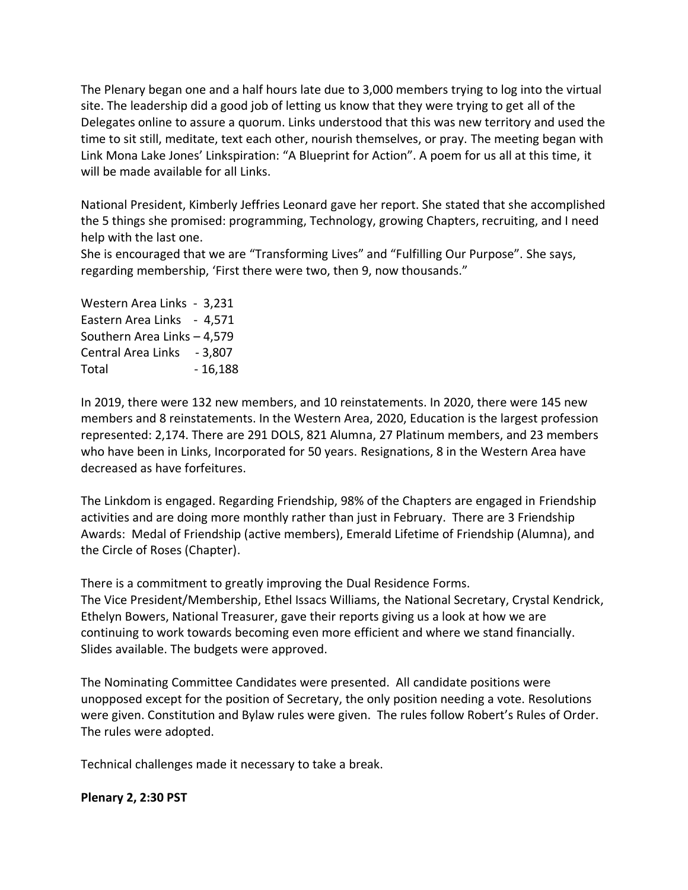The Plenary began one and a half hours late due to 3,000 members trying to log into the virtual site. The leadership did a good job of letting us know that they were trying to get all of the Delegates online to assure a quorum. Links understood that this was new territory and used the time to sit still, meditate, text each other, nourish themselves, or pray. The meeting began with Link Mona Lake Jones' Linkspiration: "A Blueprint for Action". A poem for us all at this time, it will be made available for all Links.

National President, Kimberly Jeffries Leonard gave her report. She stated that she accomplished the 5 things she promised: programming, Technology, growing Chapters, recruiting, and I need help with the last one.

She is encouraged that we are "Transforming Lives" and "Fulfilling Our Purpose". She says, regarding membership, 'First there were two, then 9, now thousands."

Western Area Links - 3,231 Eastern Area Links - 4,571 Southern Area Links – 4,579 Central Area Links - 3,807 Total - 16,188

In 2019, there were 132 new members, and 10 reinstatements. In 2020, there were 145 new members and 8 reinstatements. In the Western Area, 2020, Education is the largest profession represented: 2,174. There are 291 DOLS, 821 Alumna, 27 Platinum members, and 23 members who have been in Links, Incorporated for 50 years. Resignations, 8 in the Western Area have decreased as have forfeitures.

The Linkdom is engaged. Regarding Friendship, 98% of the Chapters are engaged in Friendship activities and are doing more monthly rather than just in February. There are 3 Friendship Awards: Medal of Friendship (active members), Emerald Lifetime of Friendship (Alumna), and the Circle of Roses (Chapter).

There is a commitment to greatly improving the Dual Residence Forms.

The Vice President/Membership, Ethel Issacs Williams, the National Secretary, Crystal Kendrick, Ethelyn Bowers, National Treasurer, gave their reports giving us a look at how we are continuing to work towards becoming even more efficient and where we stand financially. Slides available. The budgets were approved.

The Nominating Committee Candidates were presented. All candidate positions were unopposed except for the position of Secretary, the only position needing a vote. Resolutions were given. Constitution and Bylaw rules were given. The rules follow Robert's Rules of Order. The rules were adopted.

Technical challenges made it necessary to take a break.

### **Plenary 2, 2:30 PST**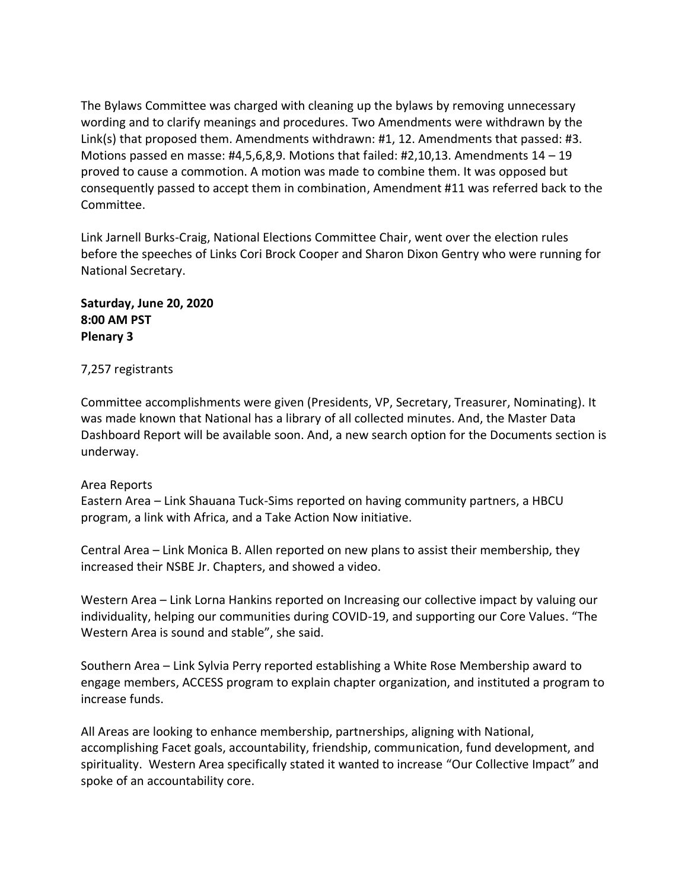The Bylaws Committee was charged with cleaning up the bylaws by removing unnecessary wording and to clarify meanings and procedures. Two Amendments were withdrawn by the Link(s) that proposed them. Amendments withdrawn: #1, 12. Amendments that passed: #3. Motions passed en masse: #4,5,6,8,9. Motions that failed: #2,10,13. Amendments  $14 - 19$ proved to cause a commotion. A motion was made to combine them. It was opposed but consequently passed to accept them in combination, Amendment #11 was referred back to the Committee.

Link Jarnell Burks-Craig, National Elections Committee Chair, went over the election rules before the speeches of Links Cori Brock Cooper and Sharon Dixon Gentry who were running for National Secretary.

**Saturday, June 20, 2020 8:00 AM PST Plenary 3**

### 7,257 registrants

Committee accomplishments were given (Presidents, VP, Secretary, Treasurer, Nominating). It was made known that National has a library of all collected minutes. And, the Master Data Dashboard Report will be available soon. And, a new search option for the Documents section is underway.

#### Area Reports

Eastern Area – Link Shauana Tuck-Sims reported on having community partners, a HBCU program, a link with Africa, and a Take Action Now initiative.

Central Area – Link Monica B. Allen reported on new plans to assist their membership, they increased their NSBE Jr. Chapters, and showed a video.

Western Area – Link Lorna Hankins reported on Increasing our collective impact by valuing our individuality, helping our communities during COVID-19, and supporting our Core Values. "The Western Area is sound and stable", she said.

Southern Area – Link Sylvia Perry reported establishing a White Rose Membership award to engage members, ACCESS program to explain chapter organization, and instituted a program to increase funds.

All Areas are looking to enhance membership, partnerships, aligning with National, accomplishing Facet goals, accountability, friendship, communication, fund development, and spirituality. Western Area specifically stated it wanted to increase "Our Collective Impact" and spoke of an accountability core.